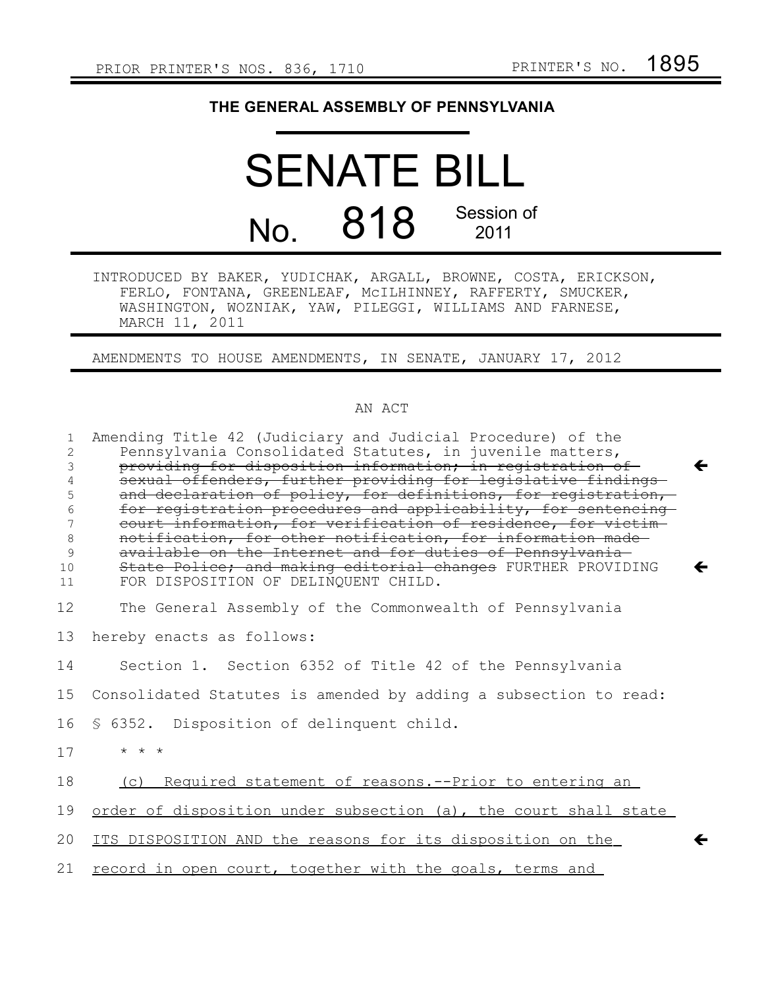## **THE GENERAL ASSEMBLY OF PENNSYLVANIA**

## SENATE BILL No. 818 Session of 2011

INTRODUCED BY BAKER, YUDICHAK, ARGALL, BROWNE, COSTA, ERICKSON, FERLO, FONTANA, GREENLEAF, McILHINNEY, RAFFERTY, SMUCKER, WASHINGTON, WOZNIAK, YAW, PILEGGI, WILLIAMS AND FARNESE, MARCH 11, 2011

AMENDMENTS TO HOUSE AMENDMENTS, IN SENATE, JANUARY 17, 2012

## AN ACT

| 1<br>2<br>3<br>4<br>5<br>6<br>7<br>$\,8\,$<br>9 | Amending Title 42 (Judiciary and Judicial Procedure) of the<br>Pennsylvania Consolidated Statutes, in juvenile matters,<br>providing for disposition information; in registration of<br>←<br>sexual offenders, further providing for legislative findings-<br>and declaration of policy, for definitions, for registration,<br>for registration procedures and applicability, for sentencing<br>court information, for verification of residence, for victim-<br>notification, for other notification, for information made-<br>available on the Internet and for duties of Pennsylvania- |
|-------------------------------------------------|-------------------------------------------------------------------------------------------------------------------------------------------------------------------------------------------------------------------------------------------------------------------------------------------------------------------------------------------------------------------------------------------------------------------------------------------------------------------------------------------------------------------------------------------------------------------------------------------|
| 10<br>11                                        | State Police; and making editorial changes FURTHER PROVIDING<br>←<br>FOR DISPOSITION OF DELINQUENT CHILD.                                                                                                                                                                                                                                                                                                                                                                                                                                                                                 |
| 12                                              | The General Assembly of the Commonwealth of Pennsylvania                                                                                                                                                                                                                                                                                                                                                                                                                                                                                                                                  |
| 13                                              | hereby enacts as follows:                                                                                                                                                                                                                                                                                                                                                                                                                                                                                                                                                                 |
| 14                                              | Section 1. Section 6352 of Title 42 of the Pennsylvania                                                                                                                                                                                                                                                                                                                                                                                                                                                                                                                                   |
| 15                                              | Consolidated Statutes is amended by adding a subsection to read:                                                                                                                                                                                                                                                                                                                                                                                                                                                                                                                          |
| 16                                              | § 6352. Disposition of delinquent child.                                                                                                                                                                                                                                                                                                                                                                                                                                                                                                                                                  |
| 17                                              | $\star$ $\star$ $\star$                                                                                                                                                                                                                                                                                                                                                                                                                                                                                                                                                                   |
| 18                                              | (c) Required statement of reasons. -- Prior to entering an                                                                                                                                                                                                                                                                                                                                                                                                                                                                                                                                |
| 19                                              | order of disposition under subsection (a), the court shall state                                                                                                                                                                                                                                                                                                                                                                                                                                                                                                                          |
| 20                                              | ITS DISPOSITION AND the reasons for its disposition on the                                                                                                                                                                                                                                                                                                                                                                                                                                                                                                                                |
| 21                                              | record in open court, together with the goals, terms and                                                                                                                                                                                                                                                                                                                                                                                                                                                                                                                                  |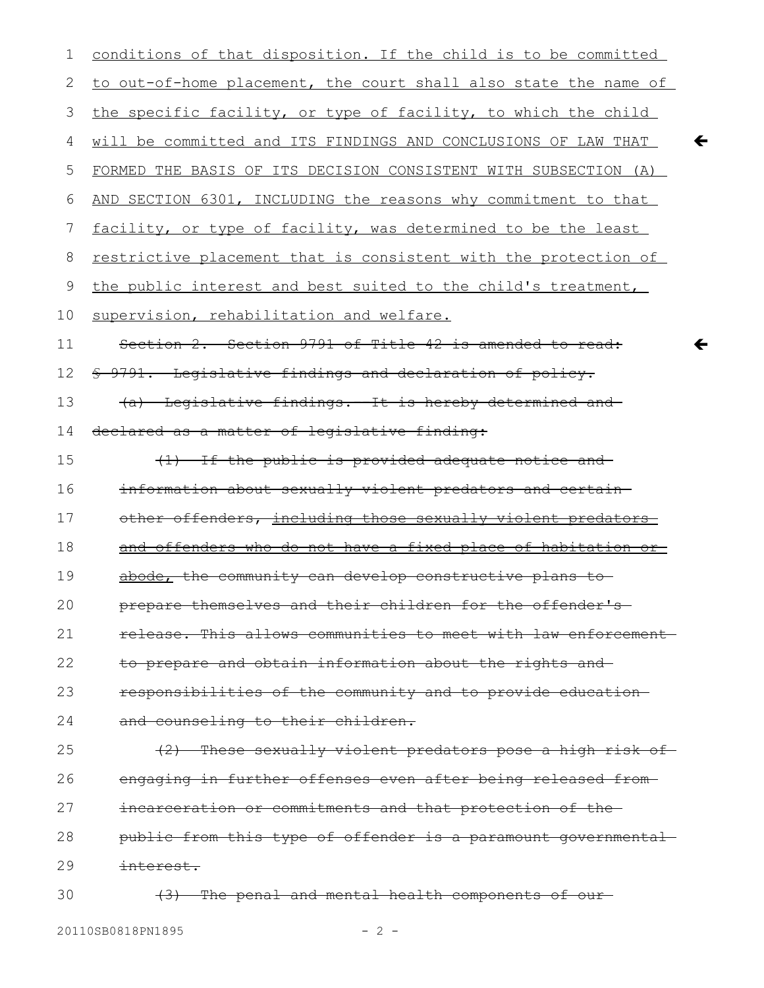| 1  | conditions of that disposition. If the child is to be committed        |
|----|------------------------------------------------------------------------|
| 2  | to out-of-home placement, the court shall also state the name of       |
| 3  | the specific facility, or type of facility, to which the child         |
| 4  | will be committed and ITS FINDINGS AND CONCLUSIONS OF LAW THAT         |
| 5  | FORMED THE BASIS OF ITS DECISION CONSISTENT WITH SUBSECTION (A)        |
| 6  | AND SECTION 6301, INCLUDING the reasons why commitment to that         |
| 7  | facility, or type of facility, was determined to be the least          |
| 8  | <u>restrictive placement that is consistent with the protection of</u> |
| 9  | the public interest and best suited to the child's treatment,          |
| 10 | supervision, rehabilitation and welfare.                               |
| 11 | Section 2. Section 9791 of Title 42 is amended to read:                |
| 12 | \$ 9791. Legislative findings and declaration of policy.               |
| 13 | (a) Legislative findings.--It is hereby determined and-                |
| 14 | declared as a matter of legislative finding:                           |
| 15 | (1) If the public is provided adequate notice and                      |
| 16 | information about sexually violent predators and certain-              |
| 17 | other offenders, including those sexually violent predators            |
| 18 | and offenders who do not have a fixed place of habitation or           |
| 19 | abode, the community can develop constructive plans to                 |
| 20 | prepare themselves and their children for the offender's-              |
| 21 | release. This allows communities to meet with law enforcement-         |
| 22 | to prepare and obtain information about the rights and                 |
| 23 | responsibilities of the community and to provide education-            |
| 24 | and counseling to their children.                                      |
| 25 | (2) These sexually violent predators pose a high risk of               |
| 26 | engaging in further offenses even after being released from-           |
| 27 | incarceration or commitments and that protection of the-               |
| 28 | public from this type of offender is a paramount governmental-         |
| 29 | <del>interest.</del>                                                   |
| 30 | (3) The penal and mental health components of our-                     |

 $\leftarrow$ 

 $\leftarrow$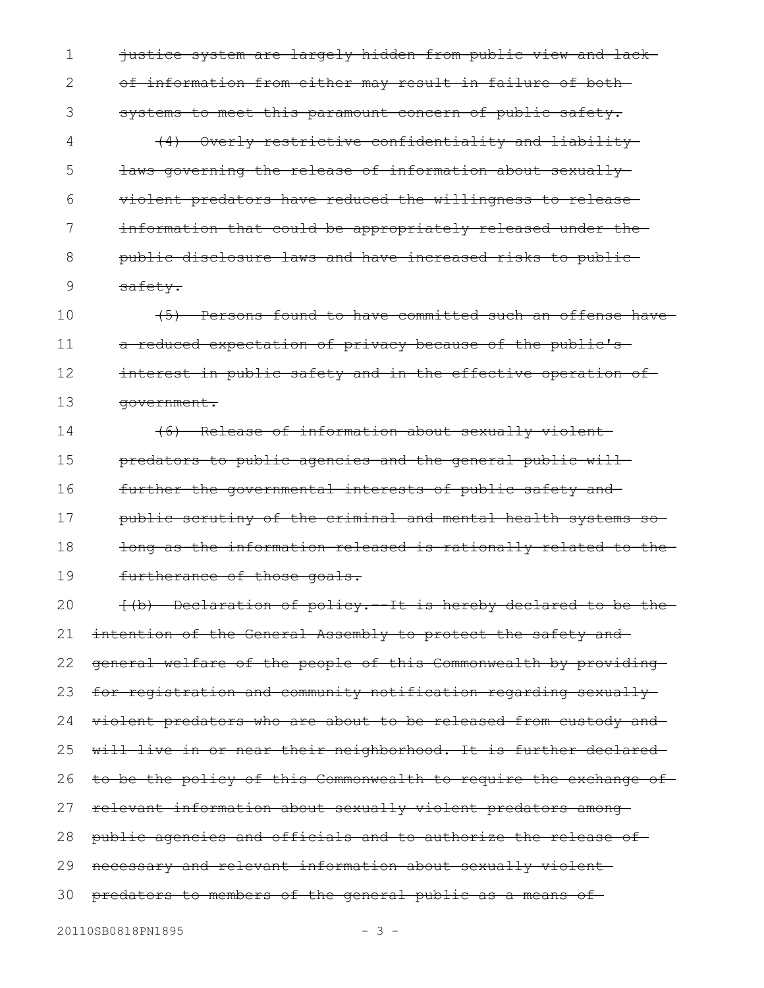justice system are largely hidden from public view and lack of information from either may result in failure of both systems to meet this paramount concern of public safety. (4) Overly restrictive confidentiality and liability laws governing the release of information about sexually violent predators have reduced the willingness to release information that could be appropriately released under thepublic disclosure laws and have increased risks to public safety. (5) Persons found to have committed such an offense have a reduced expectation of privacy because of the public's interest in public safety and in the effective operation of 1 2 3 4 5 6 7 8 9 10 11 12

(6) Release of information about sexually violent predators to public agencies and the general public will further the governmental interests of public safety and public scrutiny of the criminal and mental health systems so long as the information released is rationally related to the furtherance of those goals. 14 15 16 17 18 19

 $\{(\mathbf{b})\}$  Declaration of policy.  $-\mathbf{It}$  is hereby declared to be the intention of the General Assembly to protect the safety andgeneral welfare of the people of this Commonwealth by providing for registration and community notification regarding sexually violent predators who are about to be released from custody and will live in or near their neighborhood. It is further declared to be the policy of this Commonwealth to require the exchange of relevant information about sexually violent predators among public agencies and officials and to authorize the release of necessary and relevant information about sexually violent predators to members of the general public as a means of 20 21 22 23 24 25 26 27 28 29 30

government.

13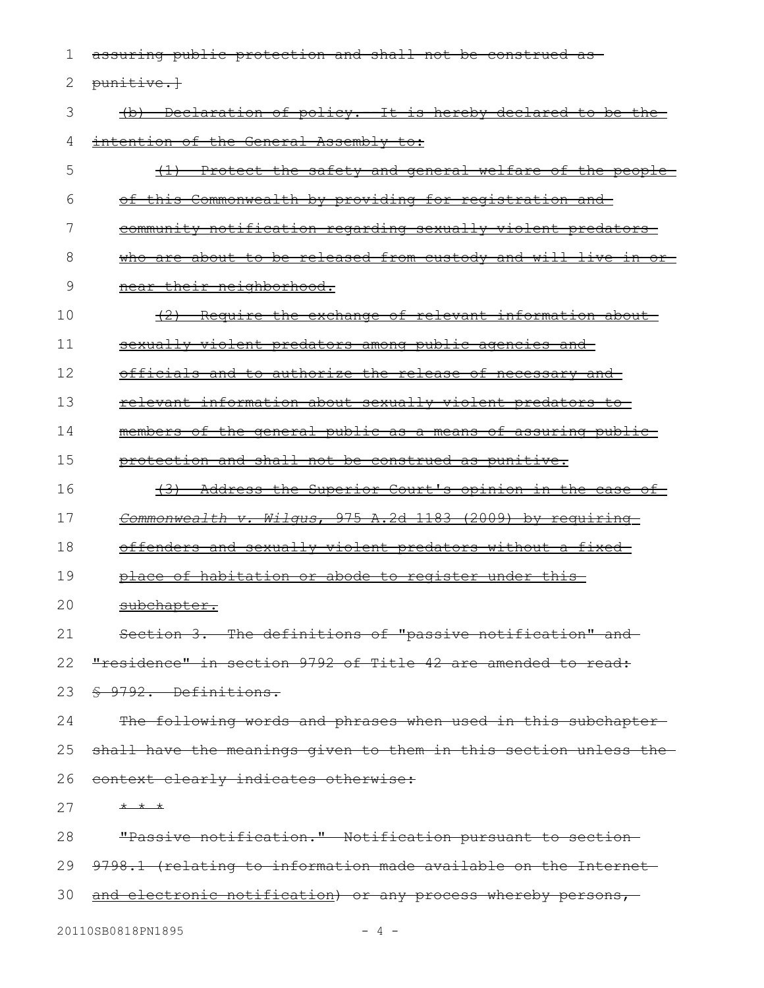assuring public protection and shall not be construed as punitive.] (b) Declaration of policy.--It is hereby declared to be the intention of the General Assembly to: (1) Protect the safety and general welfare of the people of this Commonwealth by providing for registration and community notification regarding sexually violent predators who are about to be released from custody and will live in ornear their neighborhood. (2) Require the exchange of relevant information about sexually violent predators among public agencies and officials and to authorize the release of necessary and relevant information about sexually violent predators to members of the general public as a means of assuring public protection and shall not be construed as punitive. (3) Address the Superior Court's opinion in the case of  *Commonwealth v. Wilgus* , 975 A.2d 1183 (2009) by requiring offenders and sexually violent predators without a fixed place of habitation or abode to register under this subchapter. Section 3. The definitions of "passive notification" and "residence" in section 9792 of Title 42 are amended to read: § 9792. Definitions. The following words and phrases when used in this subchaptershall have the meanings given to them in this section unless the context clearly indicates otherwise: \* \* \* "Passive notification." Notification pursuant to section 9798.1 (relating to information made available on the Internet and electronic notification) or any process whereby persons, 1 2 3 4 5 6 7 8 9 10 11 12 13 14 15 16 17 18 19 20 21 22 23 24 25 26 27 28 29 30

20110SB0818PN1895 - 4 -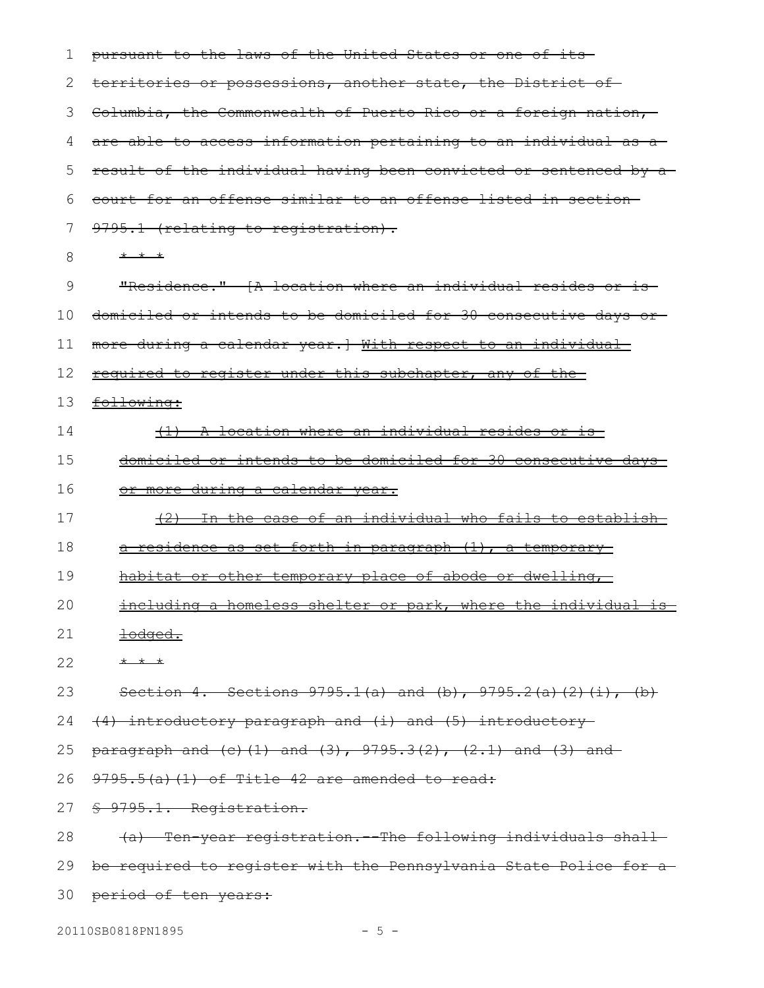| ı  | pursuant to the laws of the United States or one of its-                  |
|----|---------------------------------------------------------------------------|
| 2  | territories or possessions, another state, the District of-               |
| 3  | Columbia, the Commonwealth of Puerto Rico or a foreign nation,            |
| 4  | are able to access information pertaining to an individual as a           |
| 5  | result of the individual having been convicted or sentenced by a          |
| 6  | court for an offense similar to an offense listed in section-             |
| 7  | 9795.1 (relating to registration).                                        |
| 8  | * * *                                                                     |
| 9  | "Residence." (A location where an individual resides or is                |
| 10 | domiciled or intends to be domiciled for 30 consecutive days or-          |
| 11 | more during a calendar year.] With respect to an individual               |
| 12 | required to register under this subchapter, any of the-                   |
| 13 | following:                                                                |
| 14 | (1) A location where an individual resides or is                          |
| 15 | <u>domiciled or intends to be domiciled for 30 consecutive days-</u>      |
| 16 | <u>or more during a calendar year.</u>                                    |
| 17 | (2) In the case of an individual who fails to establish                   |
| 18 | a residence as set forth in paragraph (1), a temporary                    |
| 19 | <u>habitat or other temporary place of abode or dwelling,</u>             |
| 20 | including a homeless shelter or park, where the individual is             |
| 21 | <u> <del>lodged.</del></u>                                                |
| 22 | $+$ $+$ $+$                                                               |
| 23 | Section 4. Sections $9795.1(a)$ and (b), $9795.2(a)$ (2) (i), (b)         |
| 24 | (4) introductory paragraph and (i) and (5) introductory                   |
| 25 | $\frac{1}{2}$ paragraph and (c) (1) and (3), 9795.3(2), (2.1) and (3) and |
| 26 | $9795.5(a)$ (1) of Title 42 are amended to read:                          |
|    | \$ 9795.1. Registration.                                                  |
| 27 |                                                                           |
| 28 | Ten year registration. The following individuals shall-<br><del>(a)</del> |
| 29 | be required to register with the Pennsylvania State Police for a          |

20110SB0818PN1895 - 5 -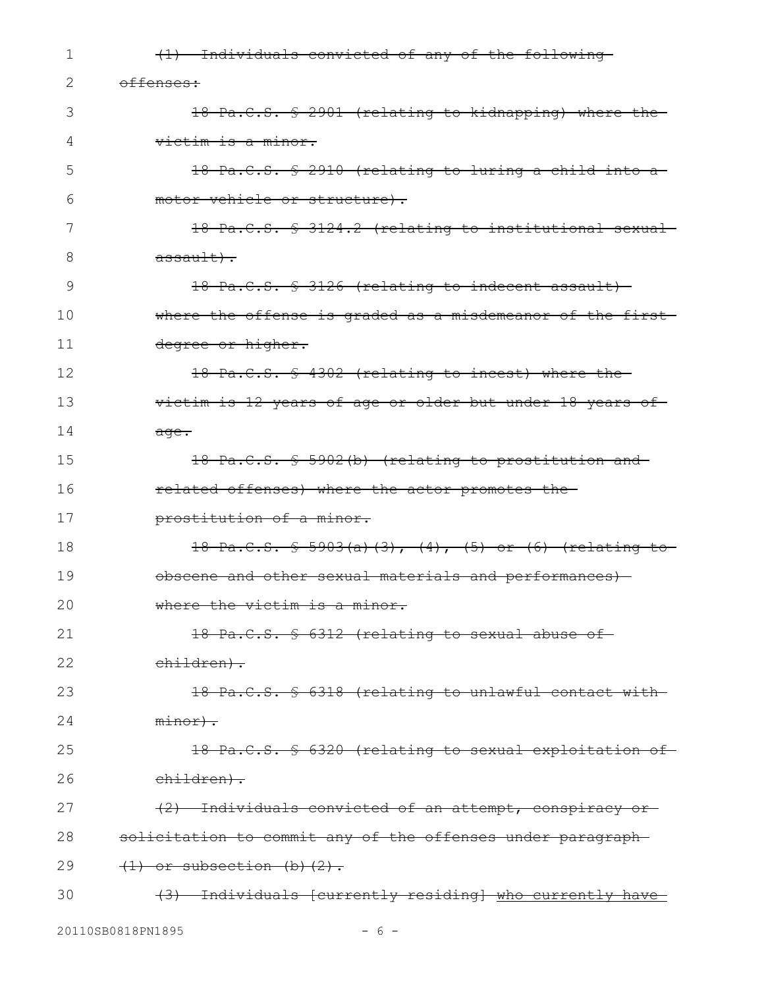| 1  | (1) Individuals convicted of any of the following                                   |
|----|-------------------------------------------------------------------------------------|
| 2  | offenses:                                                                           |
| 3  | 18 Pa.C.S. § 2901 (relating to kidnapping) where the                                |
| 4  | victim is a minor.                                                                  |
| 5  | 18 Pa.C.S. § 2910 (relating to luring a child into a                                |
| 6  | motor vehicle or structure).                                                        |
| 7  | 18 Pa.C.S. § 3124.2 (relating to institutional sexual                               |
| 8  | $\frac{a \cdot \sin\left(\frac{1}{b}\right)}{b \cdot \sin\left(\frac{1}{b}\right)}$ |
| 9  | 18 Pa.C.S. § 3126 (relating to indecent assault)                                    |
| 10 | where the offense is graded as a misdemeanor of the first-                          |
| 11 | degree or higher.                                                                   |
| 12 | 18 Pa.C.S. § 4302 (relating to incest) where the-                                   |
| 13 | victim is 12 years of age or older but under 18 years of                            |
| 14 | $\overline{age}$ .                                                                  |
| 15 | 18 Pa.C.S. § 5902(b) (relating to prostitution and-                                 |
| 16 | related offenses) where the actor promotes the-                                     |
| 17 | prostitution of a minor.                                                            |
| 18 | 18 Pa.C.S. § 5903(a)(3), (4), (5) or (6) (relating to                               |
| 19 | obscene and other sexual materials and performances)                                |
| 20 | where the victim is a minor.                                                        |
| 21 | 18 Pa.C.S. § 6312 (relating to sexual abuse of-                                     |
| 22 | children).                                                                          |
| 23 | 18 Pa.C.S. § 6318 (relating to unlawful contact with                                |
| 24 | $minor$ ).                                                                          |
| 25 | 18 Pa.C.S. § 6320 (relating to sexual exploitation of                               |
| 26 | children).                                                                          |
| 27 | (2) Individuals convicted of an attempt, conspiracy or                              |
| 28 | solicitation to commit any of the offenses under paragraph-                         |
| 29 | $(1)$ or subsection (b)(2).                                                         |
| 30 | (3) Individuals [currently residing] who currently have                             |
|    |                                                                                     |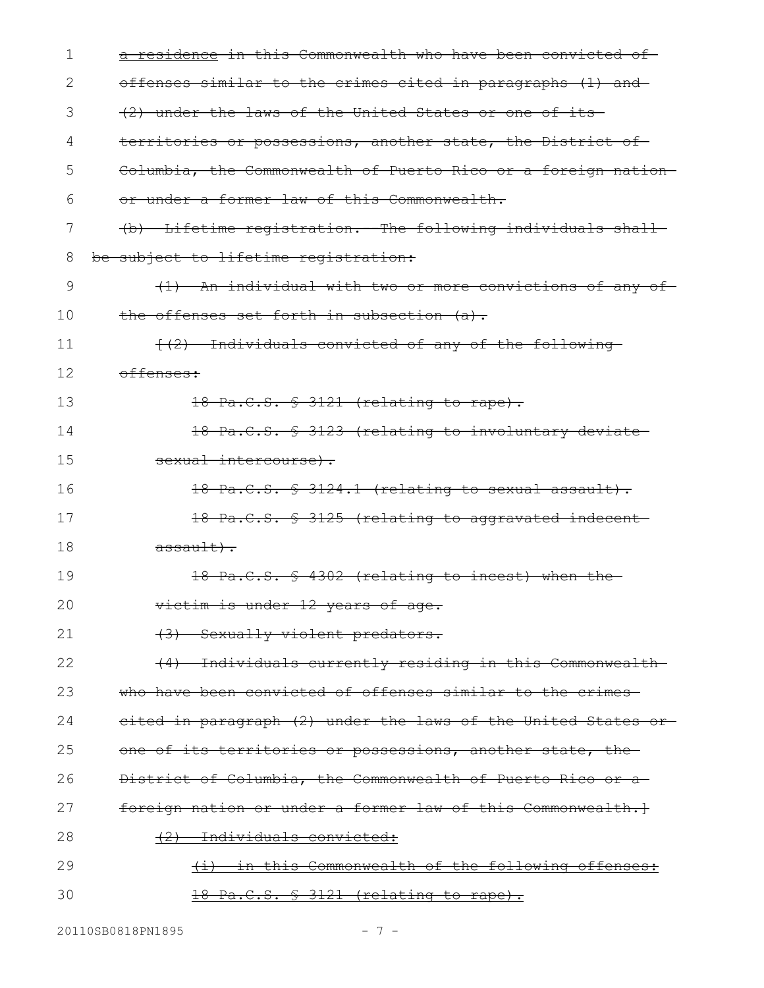| 1  | a residence in this Commonwealth who have been convicted of                         |
|----|-------------------------------------------------------------------------------------|
| 2  | offenses similar to the crimes cited in paragraphs (1) and                          |
| 3  | (2) under the laws of the United States or one of its                               |
| 4  | territories or possessions, another state, the District of-                         |
| 5  | Columbia, the Commonwealth of Puerto Rico or a foreign nation-                      |
| 6  | or under a former law of this Commonwealth.                                         |
| 7  | (b) Lifetime registration. The following individuals shall                          |
| 8  | be subject to lifetime registration:                                                |
| 9  | (1) An individual with two or more convictions of any of-                           |
| 10 | the offenses set forth in subsection (a).                                           |
| 11 | {(2) Individuals convicted of any of the following                                  |
| 12 | offenses:                                                                           |
| 13 | 18 Pa.C.S. § 3121 (relating to rape).                                               |
| 14 | 18 Pa.C.S. \$ 3123 (relating to involuntary deviate                                 |
| 15 | sexual intercourse).                                                                |
| 16 | 18 Pa.C.S. § 3124.1 (relating to sexual assault).                                   |
| 17 | 18 Pa.C.S. § 3125 (relating to aggravated indecent-                                 |
| 18 | $\frac{a \cdot \sin\left(\frac{1}{b}\right)}{b \cdot \sin\left(\frac{1}{b}\right)}$ |
| 19 | 18 Pa.C.S. § 4302 (relating to incest) when the-                                    |
| 20 | victim is under 12 years of age.                                                    |
| 21 | (3) Sexually violent predators.                                                     |
| 22 | (4) Individuals currently residing in this Commonwealth-                            |
| 23 | who have been convicted of offenses similar to the crimes-                          |
| 24 | eited in paragraph (2) under the laws of the United States or-                      |
| 25 | one of its territories or possessions, another state, the                           |
| 26 | District of Columbia, the Commonwealth of Puerto Rico or a                          |
| 27 | foreign nation or under a former law of this Commonwealth.}                         |
| 28 | Individuals convicted:                                                              |
| 29 | in this Commonwealth of the following offenses:                                     |
| 30 | <u>18 Pa.C.S. § 3121 (relating to rape).</u>                                        |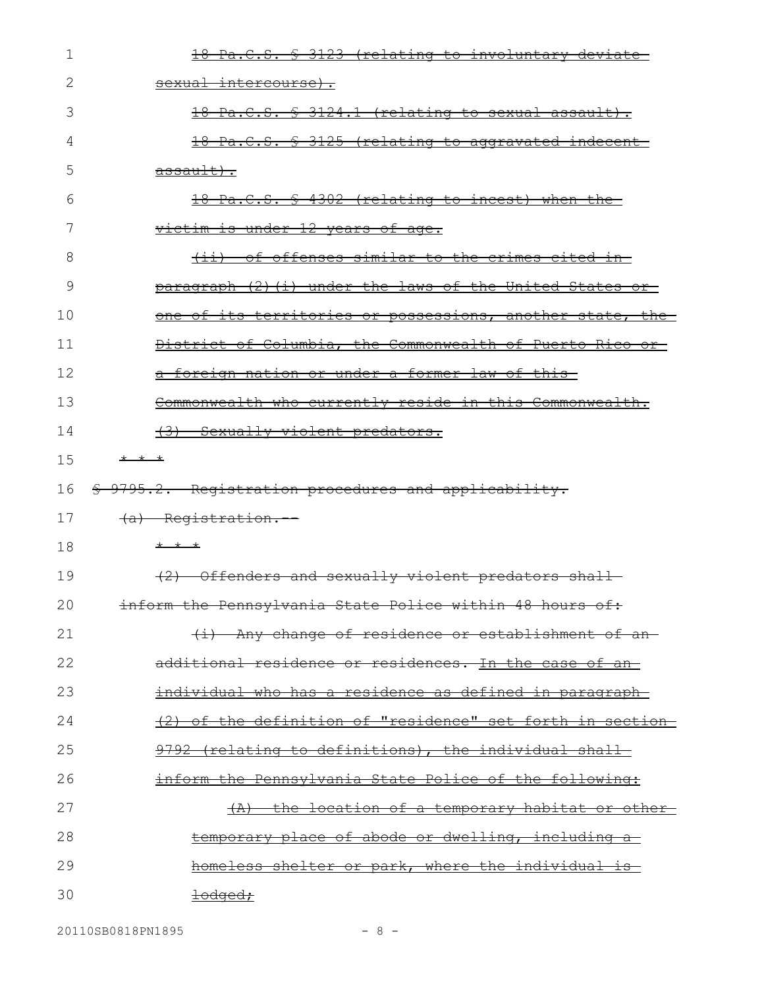| 1  | 18 Pa.C.S. § 3123 (relating to involuntary deviate-            |
|----|----------------------------------------------------------------|
| 2  | <del>sexual intercourse).</del>                                |
| 3  | 18 Pa.C.S. § 3124.1 (relating to sexual assault).              |
| 4  | 18 Pa.C.S. § 3125 (relating to aggravated indecent-            |
| 5  | $\frac{assault}{.}$                                            |
| 6  | 18 Pa.C.S. § 4302 (relating to incest) when the                |
|    | victim is under 12 years of age.                               |
| 8  | <u>(ii) of offenses similar to the crimes cited in-</u>        |
| 9  | paragraph (2) (i) under the laws of the United States or       |
| 10 | one of its territories or possessions, another state, the      |
| 11 | District of Columbia, the Commonwealth of Puerto Rico or-      |
| 12 | a foreign nation or under a former law of this-                |
| 13 | Commonwealth who currently reside in this Commonwealth.        |
| 14 | (3) Sexually violent predators.                                |
| 15 | * * *                                                          |
| 16 | \$ 9795.2. Registration procedures and applicability.          |
| 17 | (a) Registration.                                              |
| 18 | $+$ $+$ $+$                                                    |
| 19 | (2) Offenders and sexually violent predators shall-            |
| 20 | inform the Pennsylvania State Police within 48 hours of:       |
| 21 | (i) Any change of residence or establishment of an-            |
| 22 | additional residence or residences. In the case of an-         |
| 23 | <u>individual who has a residence as defined in paragraph-</u> |
| 24 | (2) of the definition of "residence" set forth in section      |
| 25 | 9792 (relating to definitions), the individual shall           |
| 26 | inform the Pennsylvania State Police of the following:         |
| 27 | (A) the location of a temporary habitat or other-              |
| 28 | temporary place of abode or dwelling, including a              |
| 29 | homeless shelter or park, where the individual is              |
| 30 | <u> <del>lodged;</del></u>                                     |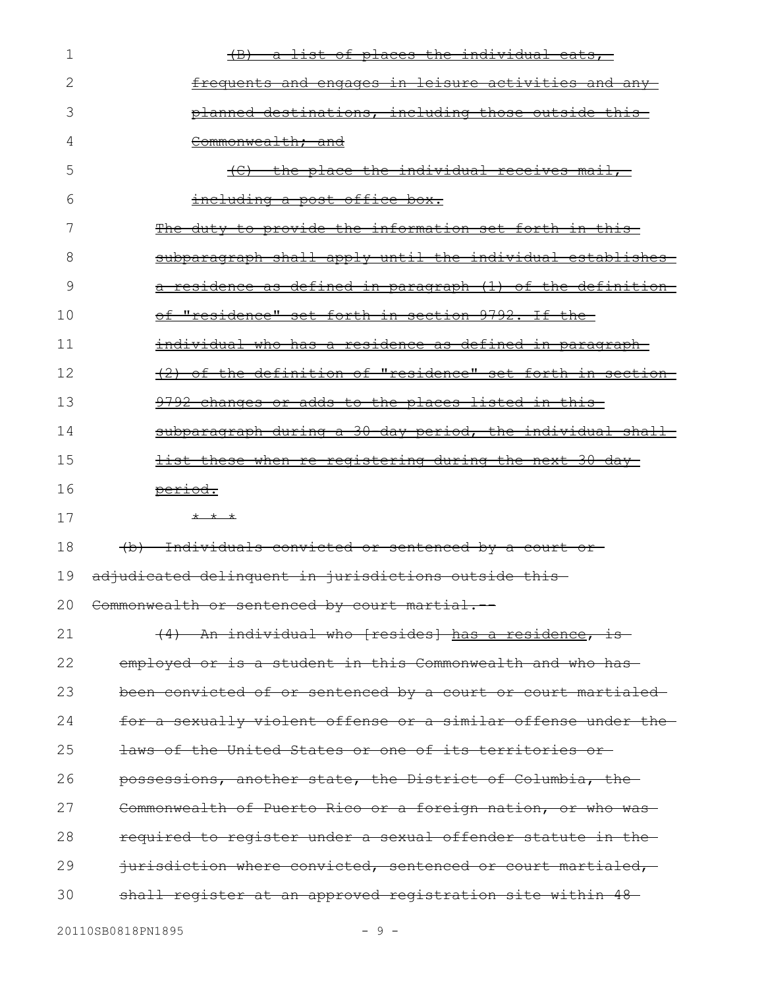| 1  | a list of places the individual eats,                          |
|----|----------------------------------------------------------------|
| 2  | <u>frequents and engages in leisure activities and any-</u>    |
| 3  | planned destinations, including those outside this-            |
| 4  | Commonwealth; and                                              |
| 5  | (C) the place the individual receives mail,                    |
| 6  | including a post office box.                                   |
| 7  | The duty to provide the information set forth in this-         |
| 8  | subparagraph shall apply until the individual establishes      |
| 9  | a residence as defined in paragraph (1) of the definition      |
| 10 | of "residence" set forth in section 9792. If the               |
| 11 | individual who has a residence as defined in paragraph-        |
| 12 | (2) of the definition of "residence" set forth in section-     |
| 13 | 9792 changes or adds to the places listed in this              |
| 14 | subparagraph during a 30 day period, the individual shall      |
| 15 | <u>list these when re-reqistering during the next 30 day-</u>  |
| 16 | period.                                                        |
| 17 | $+$ $+$ $+$                                                    |
| 18 | (b) Individuals convicted or sentenced by a court or-          |
| 19 | adjudicated delinquent in jurisdictions outside this-          |
|    | 20 Commonwealth or sentenced by court martial.                 |
| 21 | (4) An individual who [resides] has a residence, is-           |
| 22 | employed or is a student in this Commonwealth and who has-     |
| 23 | been convicted of or sentenced by a court or court martialed   |
| 24 | for a sexually violent offense or a similar offense under the- |
| 25 | laws of the United States or one of its territories or         |
| 26 | possessions, another state, the District of Columbia, the      |
| 27 | Commonwealth of Puerto Rico or a foreign nation, or who was-   |
| 28 | required to register under a sexual offender statute in the    |
| 29 | jurisdiction where convicted, sentenced or court martialed,    |
| 30 | shall register at an approved registration site within 48-     |
|    |                                                                |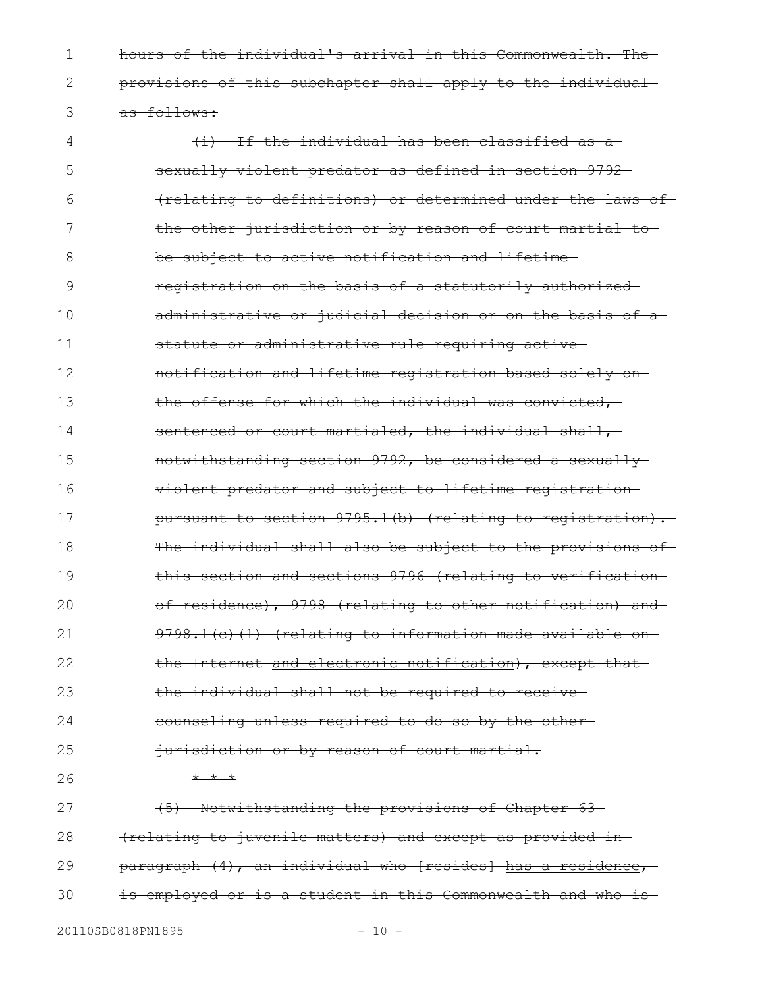hours of the individual's arrival in this Commonwealth. The provisions of this subchapter shall apply to the individual as follows: 1 2 3

(i) If the individual has been classified as a sexually violent predator as defined in section 9792 (relating to definitions) or determined under the laws of the other jurisdiction or by reason of court martial to be subject to active notification and lifetime registration on the basis of a statutorily authorized administrative or judicial decision or on the basis of a statute or administrative rule requiring active notification and lifetime registration based solely on the offense for which the individual was convicted, sentenced or court martialed, the individual shall, notwithstanding section 9792, be considered a sexually violent predator and subject to lifetime registration pursuant to section 9795.1(b) (relating to registration). The individual shall also be subject to the provisions of this section and sections 9796 (relating to verification of residence), 9798 (relating to other notification) and 9798.1(c)(1) (relating to information made available onthe Internet and electronic notification), except that the individual shall not be required to receive counseling unless required to do so by the other jurisdiction or by reason of court martial. \* \* \* (5) Notwithstanding the provisions of Chapter 63 (relating to juvenile matters) and except as provided in paragraph (4), an individual who [resides] has a residence, is employed or is a student in this Commonwealth and who is 4 5 6 7 8 9 10 11 12 13 14 15 16 17 18 19 20 21 22 23 24 25 26 27 28 29 30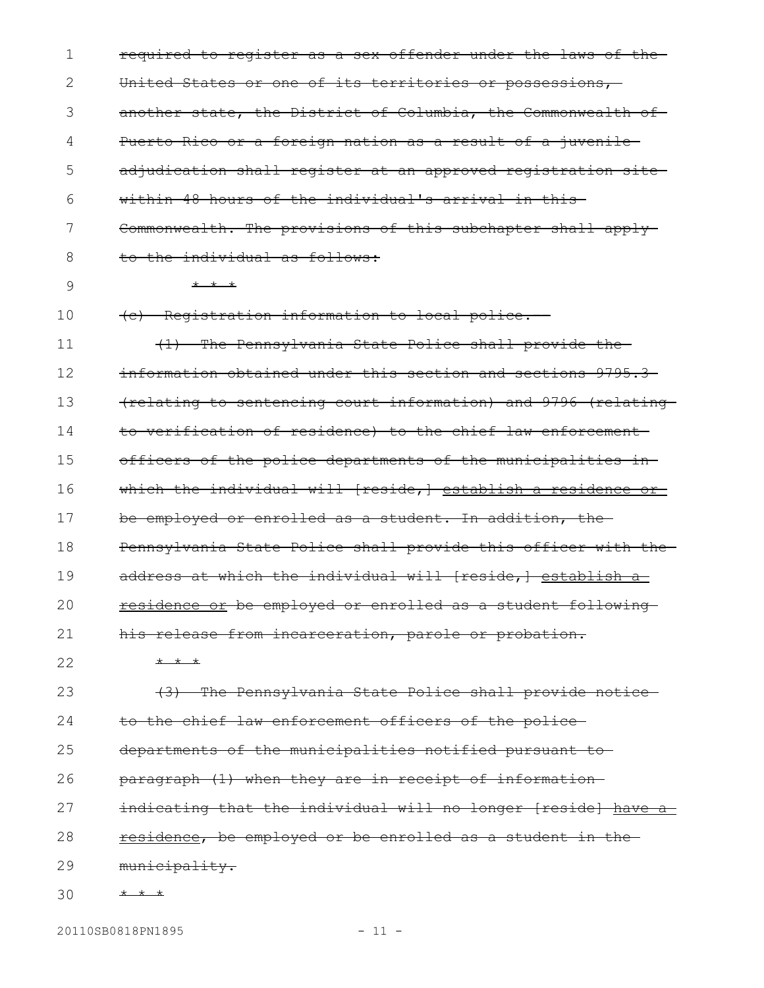required to register as a sex offender under the laws of the United States or one of its territories or possessions, another state, the District of Columbia, the Commonwealth of Puerto Rico or a foreign nation as a result of a juvenile adjudication shall register at an approved registration site within 48 hours of the individual's arrival in this-Commonwealth. The provisions of this subchapter shall applyto the individual as follows: \* \* \* (c) Registration information to local police.-- (1) The Pennsylvania State Police shall provide the information obtained under this section and sections 9795.3 (relating to sentencing court information) and 9796 (relating to verification of residence) to the chief law enforcement officers of the police departments of the municipalities in which the individual will [reside,] establish a residence or be employed or enrolled as a student. In addition, the Pennsylvania State Police shall provide this officer with the address at which the individual will [reside,] establish a residence or be employed or enrolled as a student following his release from incarceration, parole or probation. \* \* \* (3) The Pennsylvania State Police shall provide notice to the chief law enforcement officers of the police departments of the municipalities notified pursuant to paragraph (1) when they are in receipt of information indicating that the individual will no longer [reside] have a residence, be employed or be enrolled as a student in the municipality. \* \* \* 1 2 3 4 5 6 7 8 9 10 11 12 13 14 15 16 17 18 19 20 21 22 23 24 25 26 27 28 29 30

20110SB0818PN1895 - 11 -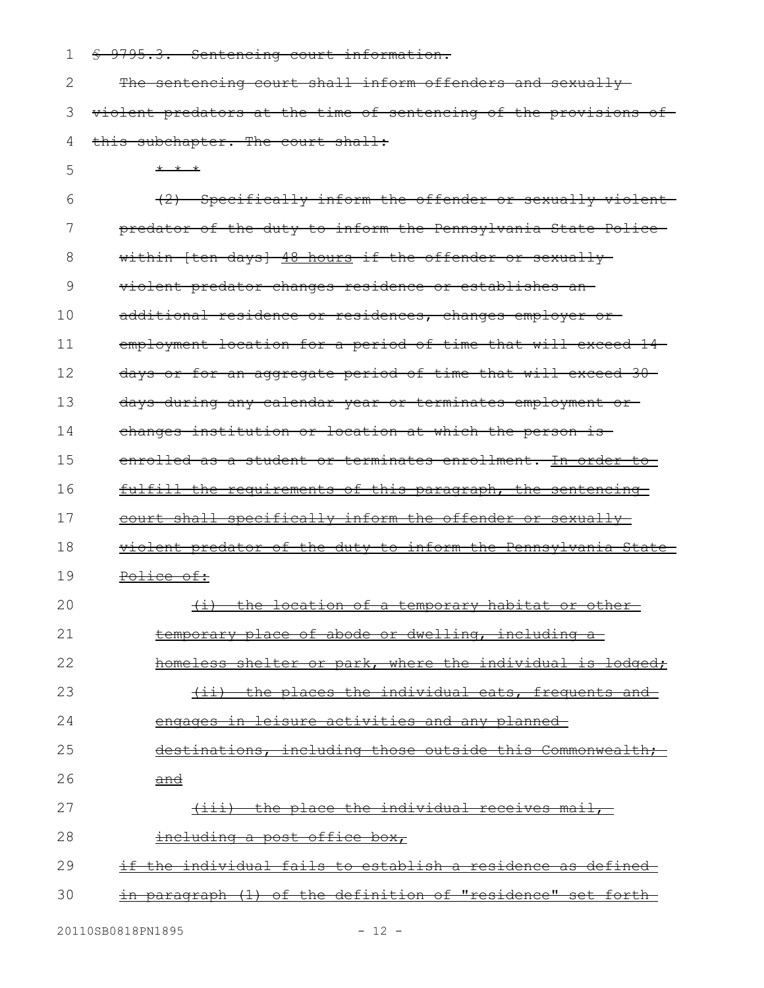§ 9795.3. Sentencing court information. 1

| 2 The sentencing court shall inform offenders and sexually                    |
|-------------------------------------------------------------------------------|
| 3 <del>violent predators at the time of sentencing of the provisions of</del> |
| 4 this subchapter. The court shall:                                           |

\* \* \* 5

(2) Specifically inform the offender or sexually violent predator of the duty to inform the Pennsylvania State Police within [ten days] 48 hours if the offender or sexually violent predator changes residence or establishes an additional residence or residences, changes employer or employment location for a period of time that will exceed 14 days or for an aggregate period of time that will exceed 30 days during any calendar year or terminates employment or changes institution or location at which the person is enrolled as a student or terminates enrollment. In order to fulfill the requirements of this paragraph, the sentencing court shall specifically inform the offender or sexually violent predator of the duty to inform the Pennsylvania State Police of: (i) the location of a temporary habitat or other temporary place of abode or dwelling, including a homeless shelter or park, where the individual is lodged; (ii) the places the individual eats, frequents and engages in leisure activities and any planned destinations, including those outside this Commonwealth; and (iii) the place the individual receives mail, including a post office box, if the individual fails to establish a residence as defined in paragraph (1) of the definition of "residence" set forth 6 7 8 9 10 11 12 13 14 15 16 17 18 19 20 21 22 23 24 25 26 27 28 29 30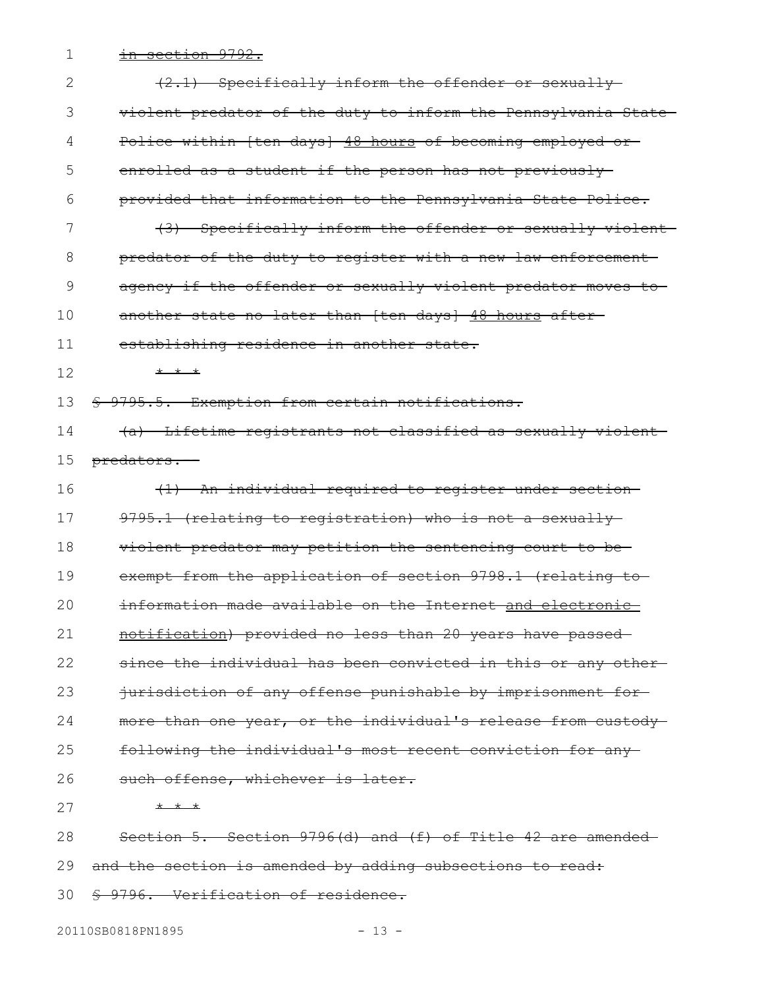1 <del>in section 9792.</del>

| 2  | $(2.1)$ Specifically inform the offender or sexually          |
|----|---------------------------------------------------------------|
| 3  | violent predator of the duty to inform the Pennsylvania State |
| 4  | Police within [ten days] 48 hours of becoming employed or-    |
| 5  | enrolled as a student if the person has not previously-       |
| 6  | provided that information to the Pennsylvania State Police.   |
| 7  | (3) Specifically inform the offender or sexually violent      |
| 8  | predator of the duty to register with a new law enforcement   |
| 9  | agency if the offender or sexually violent predator moves to- |
| 10 | another state no later than [ten days] 48 hours after-        |
| 11 | establishing residence in another state.                      |
| 12 | * * *                                                         |
| 13 | \$ 9795.5. Exemption from certain notifications.              |
| 14 | (a) Lifetime registrants not classified as sexually violent   |
| 15 | predators.--                                                  |
| 16 | (1) An individual required to register under section-         |
| 17 | 9795.1 (relating to registration) who is not a sexually-      |
| 18 | violent predator may petition the sentencing court to be-     |
| 19 | exempt from the application of section 9798.1 (relating to    |
| 20 | information made available on the Internet and electronic     |
| 21 | notification) provided no less than 20 years have passed      |
| 22 | since the individual has been convicted in this or any other- |
| 23 | jurisdiction of any offense punishable by imprisonment for-   |
| 24 | more than one year, or the individual's release from custody  |
| 25 | following the individual's most recent conviction for any-    |
| 26 | such offense, whichever is later.                             |
| 27 | $+$ $+$ $+$                                                   |
| 28 | Section 5. Section 9796(d) and (f) of Title 42 are amended    |
| 29 | and the section is amended by adding subsections to read:     |
| 30 | \$ 9796. Verification of residence.                           |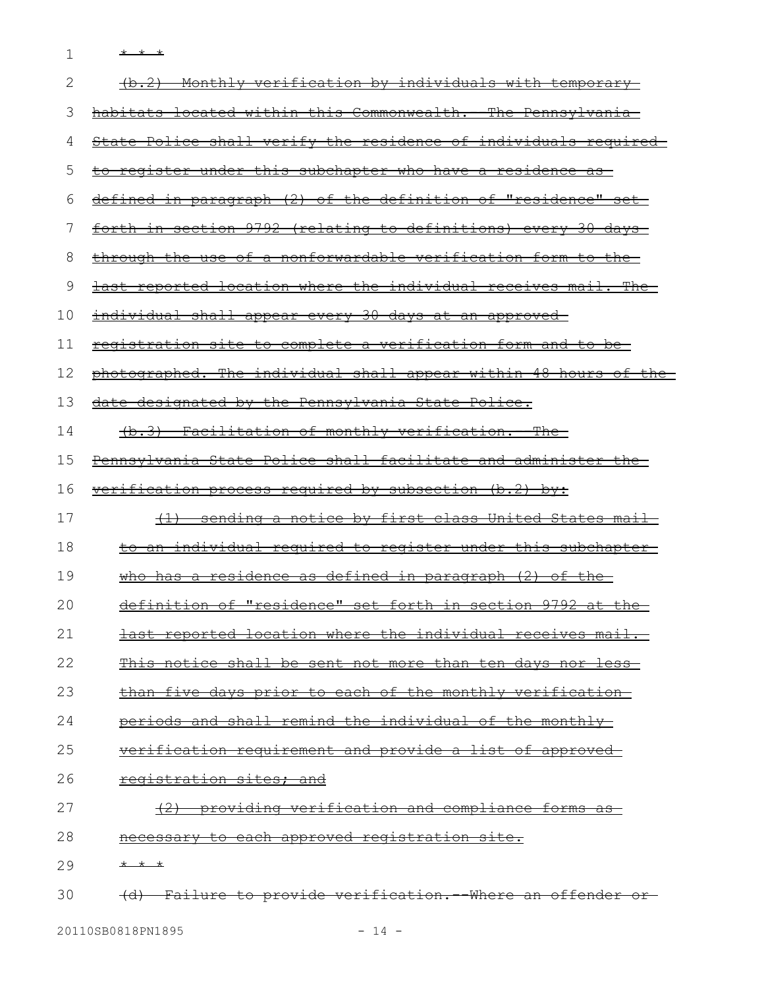1 \* \* \*

| 2  | (b.2) Monthly verification by individuals with temporary            |
|----|---------------------------------------------------------------------|
| З  | habitats located within this Commonwealth. - The Pennsylvania       |
| 4  | State Police shall verify the residence of individuals required     |
| 5  | <u>to register under this subchapter who have a residence as-</u>   |
| 6  | defined in paragraph (2) of the definition of "residence" set       |
| 7  | forth in section 9792 (relating to definitions) every 30 days       |
| 8  | through the use of a nonforwardable verification form to the        |
| 9  | last reported location where the individual receives mail. The      |
| 10 | <u>individual shall appear every 30 days at an approved-</u>        |
| 11 | registration site to complete a verification form and to be-        |
| 12 | photographed. The individual shall appear within 48 hours of the    |
| 13 | date designated by the Pennsylvania State Police.                   |
| 14 | (b.3) Facilitation of monthly verification. - The                   |
| 15 | Pennsylvania State Police shall facilitate and administer the       |
| 16 | <u>verification process required by subsection (b.2) by:</u>        |
| 17 | (1) sending a notice by first class United States mail              |
| 18 | <u>to an individual required to reqister under this subchapter-</u> |
| 19 | who has a residence as defined in paragraph $(2)$ of the            |
| 20 | definition of "residence" set forth in section 9792 at the          |
| 21 | last reported location where the individual receives mail.          |
| 22 | This notice shall be sent not more than ten days nor less-          |
| 23 | than five days prior to each of the monthly verification-           |
| 24 | periods and shall remind the individual of the monthly-             |
| 25 | verification requirement and provide a list of approved             |
| 26 | registration sites; and                                             |
| 27 | (2) providing verification and compliance forms as                  |
| 28 | necessary to each approved registration site.                       |
| 29 | * * *                                                               |
| 30 | (d) Failure to provide verification. Where an offender              |
|    |                                                                     |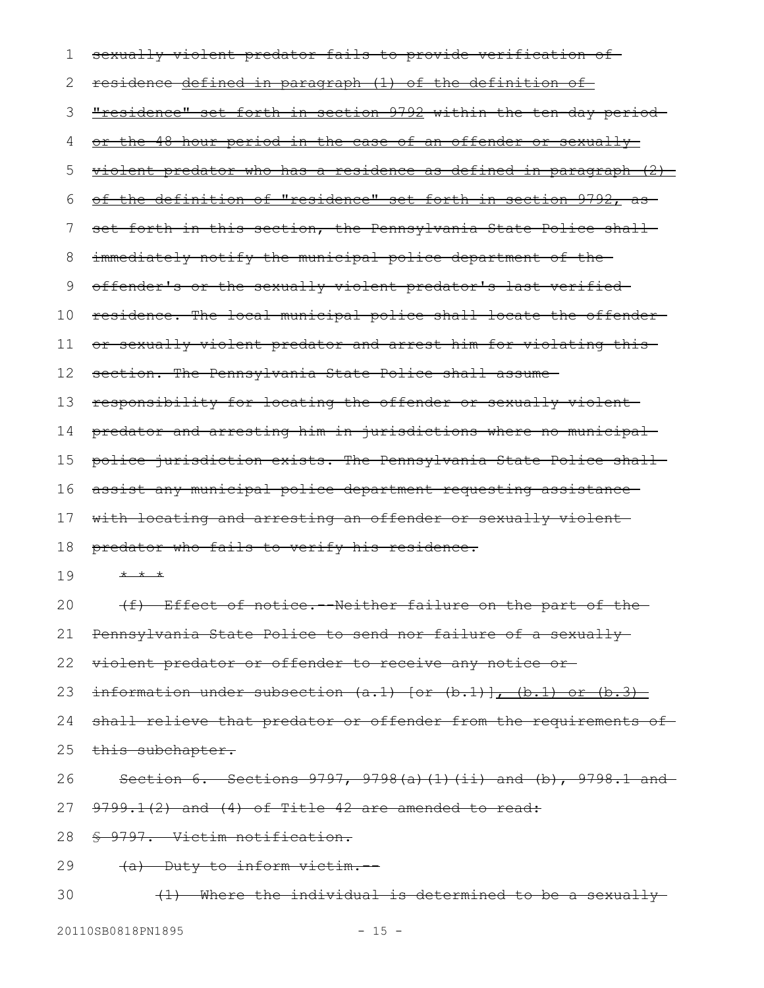| 1  | sexually violent predator fails to provide verification of-                 |
|----|-----------------------------------------------------------------------------|
| 2  | residence defined in paragraph (1) of the definition of                     |
| 3  | "residence" set forth in section 9792 within the ten-day period-            |
| 4  | or the 48 hour period in the case of an offender or sexually                |
| 5  | violent predator who has a residence as defined in paragraph (2)            |
| 6  | of the definition of "residence" set forth in section 9792, as              |
| 7  | set forth in this section, the Pennsylvania State Police shall              |
| 8  | immediately notify the municipal police department of the-                  |
| 9  | offender's or the sexually violent predator's last verified-                |
| 10 | residence. The local municipal police shall locate the offender-            |
| 11 | or sexually violent predator and arrest him for violating this-             |
| 12 | section. The Pennsylvania State Police shall assume                         |
| 13 | responsibility for locating the offender or sexually violent-               |
| 14 | predator and arresting him in jurisdictions where no municipal              |
| 15 | police jurisdiction exists. The Pennsylvania State Police shall-            |
| 16 | assist any municipal police department requesting assistance-               |
| 17 | with locating and arresting an offender or sexually violent-                |
| 18 | predator who fails to verify his residence.                                 |
| 19 | * * *                                                                       |
| 20 | (f) Effect of notice. Neither failure on the part of the                    |
| 21 | Pennsylvania State Police to send nor failure of a sexually                 |
| 22 | violent predator or offender to receive any notice or-                      |
| 23 | $\frac{1}{1}$ information under subsection (a.1) [or (b.1)], (b.1) or (b.3) |
| 24 | shall relieve that predator or offender from the requirements of-           |
| 25 | this subchapter.                                                            |
| 26 | Section 6. Sections $9797, 9798(a) (1) (ii)$ and (b), $9798.1$ and          |
| 27 | $9799.1(2)$ and $(4)$ of Title 42 are amended to read:                      |
| 28 | § 9797. Victim notification.                                                |
| 29 | (a) Duty to inform victim.                                                  |
| 30 | (1) Where the individual is determined to be a sexually                     |

20110SB0818PN1895 - 15 -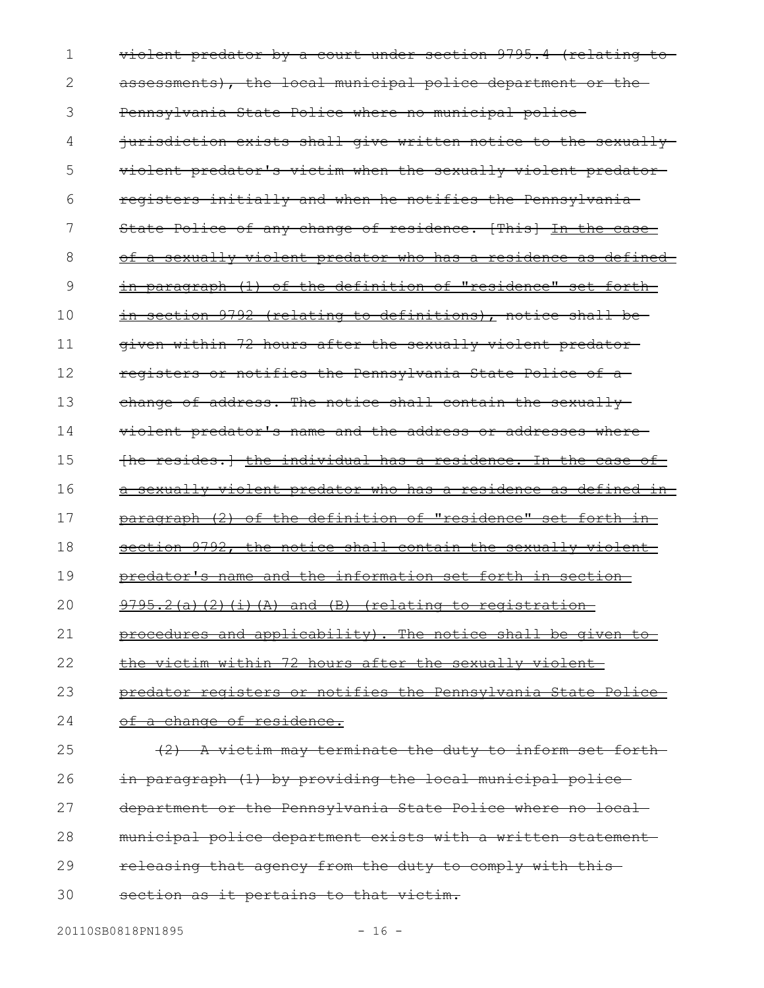violent predator by a court under section 9795.4 (relating to assessments), the local municipal police department or the Pennsylvania State Police where no municipal police jurisdiction exists shall give written notice to the sexually violent predator's victim when the sexually violent predator registers initially and when he notifies the Pennsylvania State Police of any change of residence. [This] In the case of a sexually violent predator who has a residence as defined in paragraph (1) of the definition of "residence" set forth in section 9792 (relating to definitions), notice shall begiven within 72 hours after the sexually violent predator registers or notifies the Pennsylvania State Police of a change of address. The notice shall contain the sexuallyviolent predator's name and the address or addresses where [he resides.] the individual has a residence. In the case of a sexually violent predator who has a residence as defined in paragraph (2) of the definition of "residence" set forth in section 9792, the notice shall contain the sexually violent predator's name and the information set forth in section 9795.2(a)(2)(i)(A) and (B) (relating to registrationprocedures and applicability). The notice shall be given to the victim within 72 hours after the sexually violent predator registers or notifies the Pennsylvania State Police of a change of residence. (2) A victim may terminate the duty to inform set forth in paragraph (1) by providing the local municipal police department or the Pennsylvania State Police where no local municipal police department exists with a written statement releasing that agency from the duty to comply with this section as it pertains to that victim. 1 2 3 4 5 6 7 8 9 10 11 12 13 14 15 16 17 18 19 20 21 22 23 24 25 26 27 28 29 30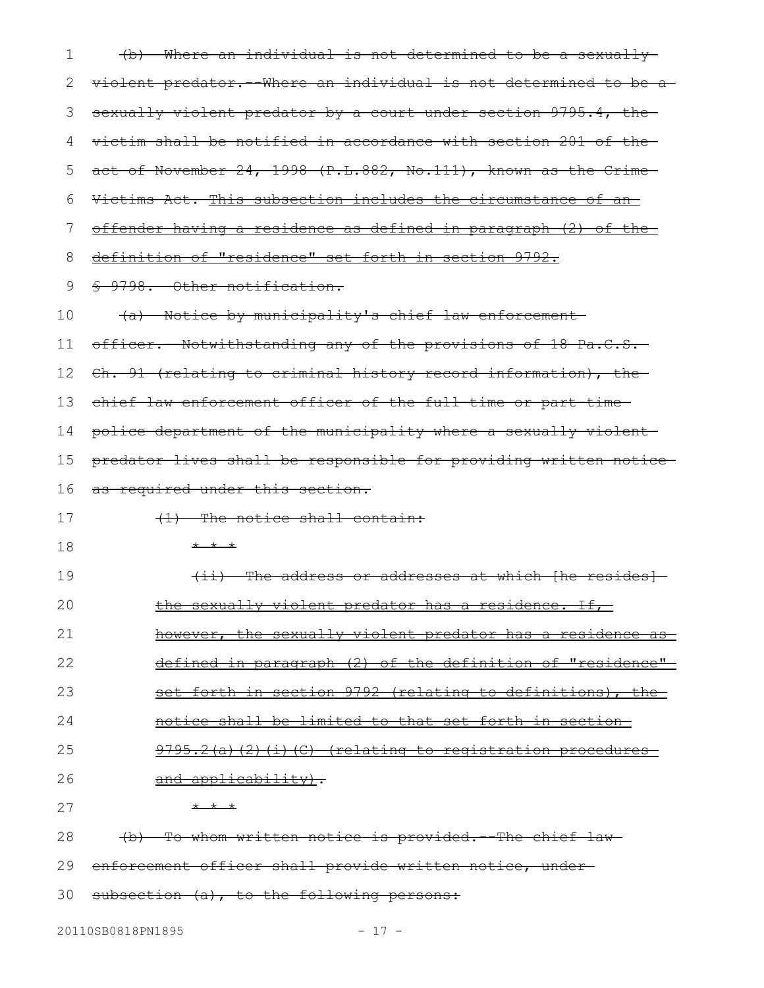| 1  | (b) Where an individual is not determined to be a sexually                   |
|----|------------------------------------------------------------------------------|
| 2  | violent predator. Where an individual is not determined to be a              |
| 3  | sexually violent predator by a court under section 9795.4, the               |
| 4  | victim shall be notified in accordance with section 201 of the-              |
| 5  | act of November 24, 1998 (P.L.882, No.111), known as the Crime               |
| 6  | Victims Act. This subsection includes the circumstance of an-                |
| 7  | offender having a residence as defined in paragraph (2) of the               |
| 8  | definition of "residence" set forth in section 9792.                         |
| 9  | § 9798. Other notification.                                                  |
| 10 | (a) Notice by municipality's chief law enforcement-                          |
| 11 | officer. Notwithstanding any of the provisions of 18 Pa.C.S.                 |
| 12 | Ch. 91 (relating to criminal history record information), the                |
| 13 | chief law enforcement officer of the full-time or part-time-                 |
| 14 | police department of the municipality where a sexually violent-              |
| 15 | predator lives shall be responsible for providing written notice-            |
| 16 | as required under this section.                                              |
| 17 | $(1)$ The notice shall contain:                                              |
| 18 | $+$ $+$ $+$                                                                  |
| 19 | (ii) The address or addresses at which [he resides]                          |
| 20 | the sexually violent predator has a residence.<br>$\pm \text{\textsterling}$ |
| 21 | however, the sexually violent predator has a residence as                    |
| 22 | defined in paragraph (2) of the definition of "residence"                    |
| 23 | set forth in section 9792 (relating to definitions), the-                    |
| 24 | notice shall be limited to that set forth in section-                        |
| 25 | 9795.2(a)(2)(i)(C) (relating to registration procedures                      |
| 26 | and applicability).                                                          |
| 27 | $+$ $+$ $+$                                                                  |
| 28 | (b) To whom written notice is provided. -- The chief law-                    |
| 29 | enforcement officer shall provide written notice, under-                     |

30 subsection (a), to the following persons: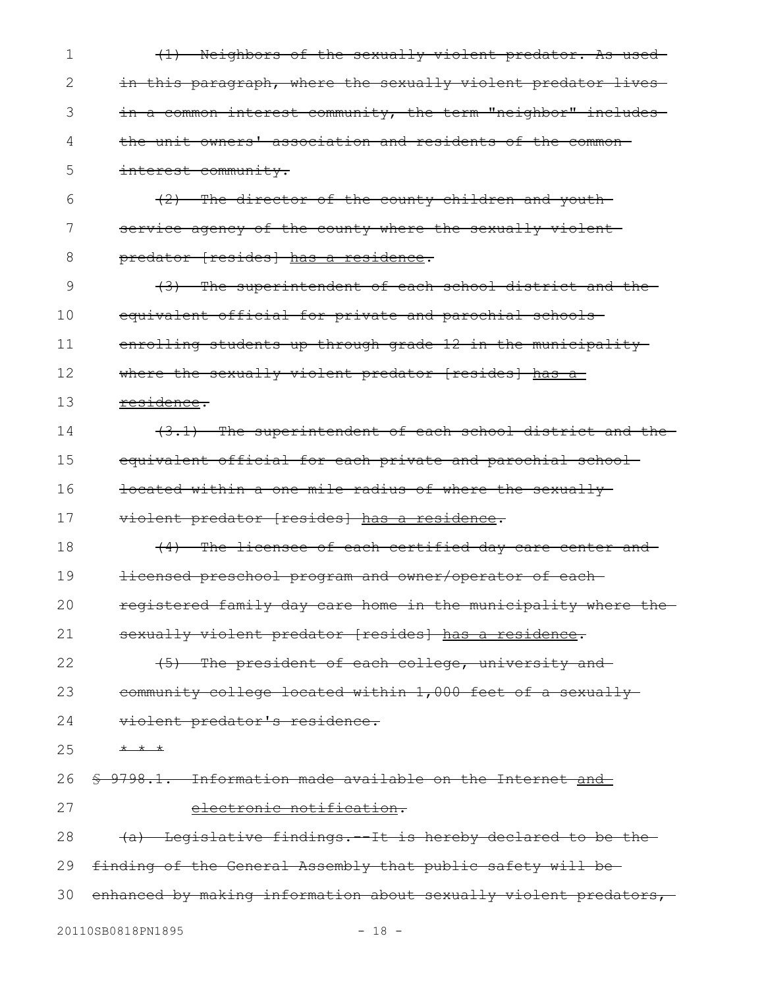(1) Neighbors of the sexually violent predator. As used in this paragraph, where the sexually violent predator livesin a common interest community, the term "neighbor" includes the unit owners' association and residents of the common interest community. (2) The director of the county children and youth service agency of the county where the sexually violentpredator [resides] has a residence. (3) The superintendent of each school district and the equivalent official for private and parochial schools enrolling students up through grade 12 in the municipalitywhere the sexually violent predator [resides] has a residence. (3.1) The superintendent of each school district and the equivalent official for each private and parochial school located within a one-mile radius of where the sexually violent predator [resides] has a residence. (4) The licensee of each certified day care center and licensed preschool program and owner/operator of each registered family day care home in the municipality where the sexually violent predator [resides] has a residence. (5) The president of each college, university and community college located within 1,000 feet of a sexually violent predator's residence. \* \* \* § 9798.1. Information made available on the Internet and electronic notification. (a) Legislative findings.--It is hereby declared to be the finding of the General Assembly that public safety will be enhanced by making information about sexually violent predators, 1 2 3 4 5 6 7 8 9 10 11 12 13 14 15 16 17 18 19 20 21 22 23 24 25 26 27 28 29 30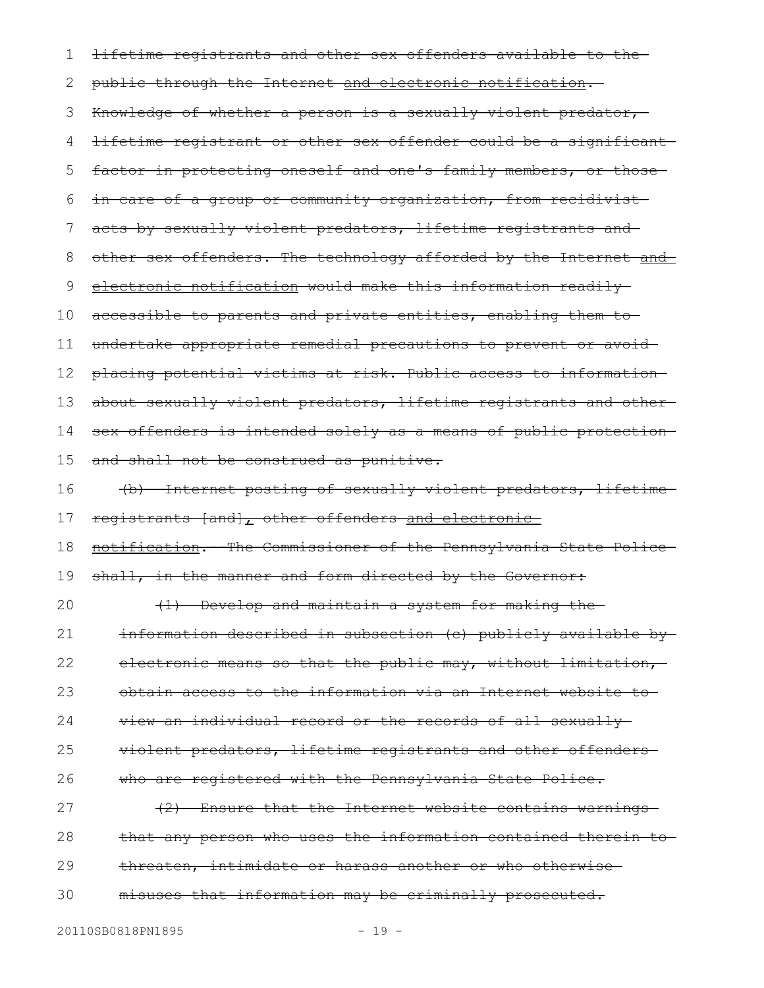lifetime registrants and other sex offenders available to the public through the Internet and electronic notification. Knowledge of whether a person is a sexually violent predator, lifetime registrant or other sex offender could be a significant factor in protecting oneself and one's family members, or thosein care of a group or community organization, from recidivist acts by sexually violent predators, lifetime registrants and other sex offenders. The technology afforded by the Internet and electronic notification would make this information readily accessible to parents and private entities, enabling them to undertake appropriate remedial precautions to prevent or avoid placing potential victims at risk. Public access to information about sexually violent predators, lifetime registrants and othersex offenders is intended solely as a means of public protection and shall not be construed as punitive. (b) Internet posting of sexually violent predators, lifetime registrants [and], other offenders and electronic notification. The Commissioner of the Pennsylvania State Police shall, in the manner and form directed by the Governor: (1) Develop and maintain a system for making the information described in subsection (c) publicly available by electronic means so that the public may, without limitation, obtain access to the information via an Internet website to view an individual record or the records of all sexually violent predators, lifetime registrants and other offenders who are registered with the Pennsylvania State Police. (2) Ensure that the Internet website contains warnings that any person who uses the information contained therein to threaten, intimidate or harass another or who otherwise misuses that information may be criminally prosecuted. 1 2 3 4 5 6 7 8 9 10 11 12 13 14 15 16 17 18 19 20 21 22 23 24 25 26 27 28 29 30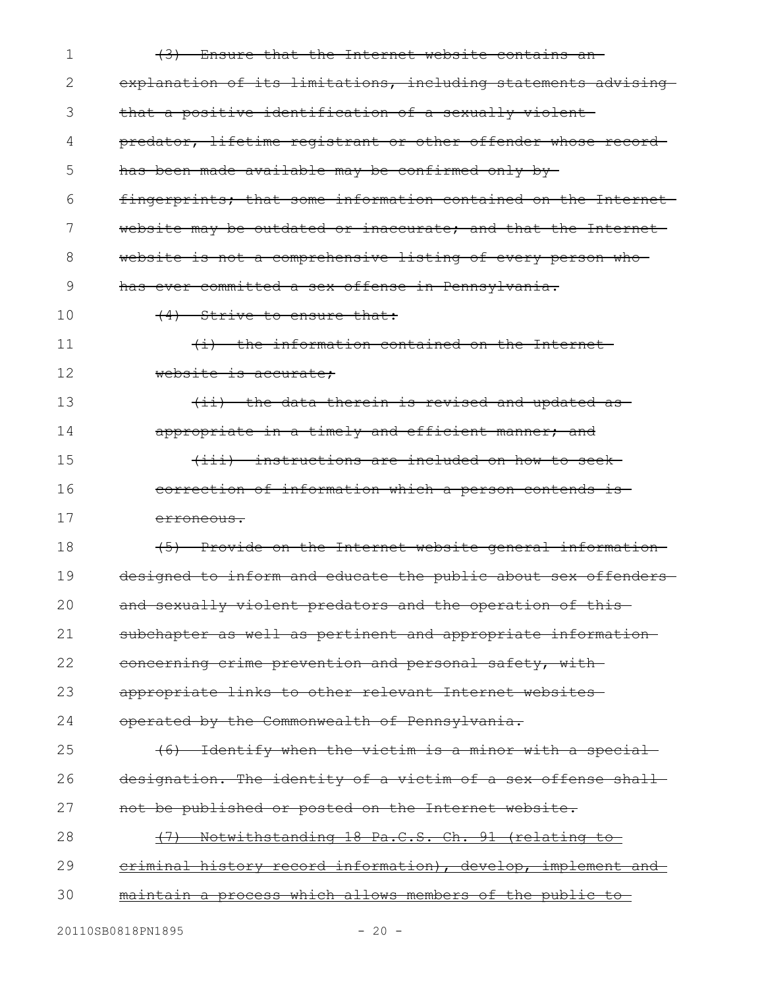| 1  | (3) Ensure that the Internet website contains an-                |
|----|------------------------------------------------------------------|
| 2  | explanation of its limitations, including statements advising    |
| 3  | that a positive identification of a sexually violent             |
| 4  | predator, lifetime registrant or other offender whose record-    |
| 5  | has been made available may be confirmed only by-                |
| 6  | fingerprints; that some information contained on the Internet    |
| 7  | website may be outdated or inaccurate; and that the Internet     |
| 8  | website is not a comprehensive listing of every person who       |
| 9  | has ever committed a sex offense in Pennsylvania.                |
| 10 | (4) Strive to ensure that:                                       |
| 11 | (i) the information contained on the Internet-                   |
| 12 | website is accurate:                                             |
| 13 | (ii) the data therein is revised and updated as-                 |
| 14 | appropriate in a timely and efficient manner; and                |
| 15 | (iii) instructions are included on how to seek-                  |
| 16 | correction of information which a person contends is-            |
| 17 | <del>erroneous.</del>                                            |
| 18 | (5) Provide on the Internet website general information-         |
| 19 | designed to inform and educate the public about sex offenders-   |
| 20 | and sexually violent predators and the operation of this-        |
| 21 | subchapter as well as pertinent and appropriate information-     |
| 22 | concerning crime prevention and personal safety, with            |
| 23 | appropriate links to other relevant Internet websites-           |
| 24 | operated by the Commonwealth of Pennsylvania.                    |
| 25 | (6) Identify when the victim is a minor with a special           |
| 26 | designation. The identity of a victim of a sex offense shall     |
| 27 | not be published or posted on the Internet website.              |
| 28 | (7) Notwithstanding 18 Pa.C.S. Ch. 91 (relating to               |
| 29 | eriminal history record information), develop, implement and     |
| 30 | <u>maintain a process which allows members of the public to-</u> |
|    |                                                                  |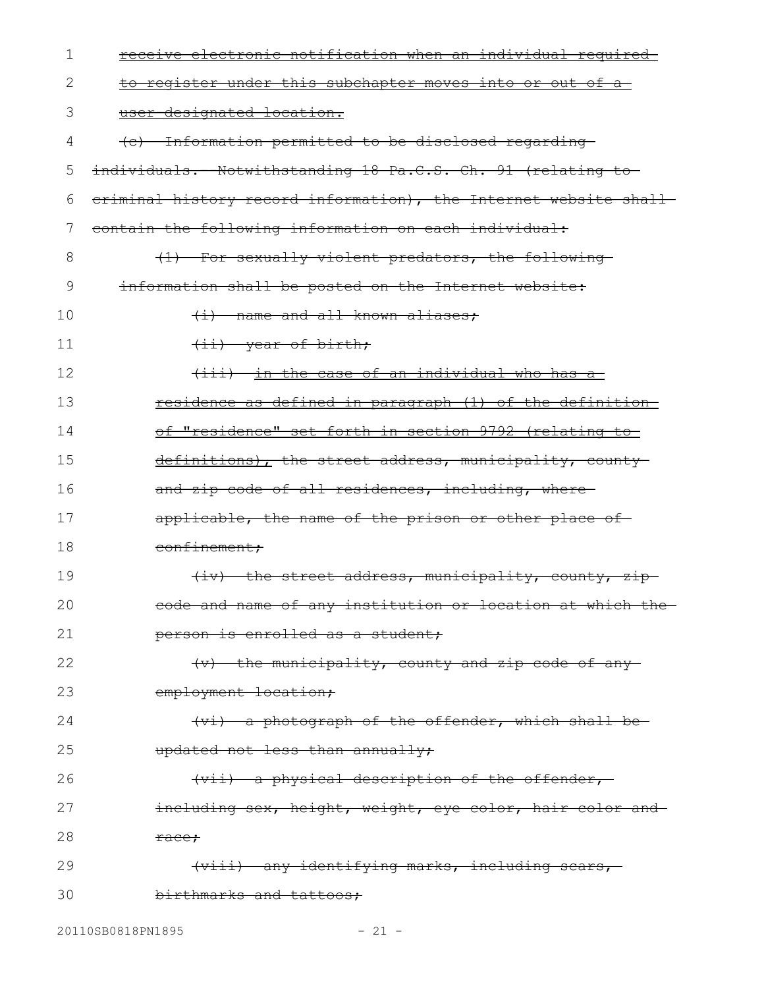| 1  | receive electronic notification when an individual required-      |
|----|-------------------------------------------------------------------|
| 2  | <u>to register under this subchapter moves into or out of a-</u>  |
| 3  | user-designated location.                                         |
| 4  | (c) Information permitted to be disclosed regarding               |
| 5  | individuals.--Notwithstanding 18 Pa.C.S. Ch. 91 (relating to-     |
| 6  | eriminal history record information), the Internet website shall- |
| 7  | contain the following information on each individual:             |
| 8  | (1) For sexually violent predators, the following-                |
| 9  | information shall be posted on the Internet website:              |
| 10 | (i) name and all known aliases;                                   |
| 11 | (ii) year of birth;                                               |
| 12 | (iii) in the case of an individual who has a                      |
| 13 | <u>residence as defined in paragraph (1) of the definition-</u>   |
| 14 | <u>of "residence" set forth in section 9792 (relating to-</u>     |
| 15 | definitions), the street address, municipality, county            |
| 16 | and zip code of all residences, including, where-                 |
| 17 | applicable, the name of the prison or other place of-             |
| 18 | confinement;                                                      |
| 19 | (iv) the street address, municipality, county, zip-               |
| 20 | eode and name of any institution or location at which the         |
| 21 | person is enrolled as a student;                                  |
| 22 | (v) the municipality, county and zip code of any-                 |
| 23 | employment location;                                              |
| 24 | (vi) a photograph of the offender, which shall be                 |
| 25 | updated not less than annually;                                   |
| 26 | (vii) a physical description of the offender,                     |
| 27 | including sex, height, weight, eye color, hair color and          |
| 28 | <del>race;</del>                                                  |
| 29 | <del>(viii) any identifying marks, including scars,</del>         |
| 30 | birthmarks and tattoos;                                           |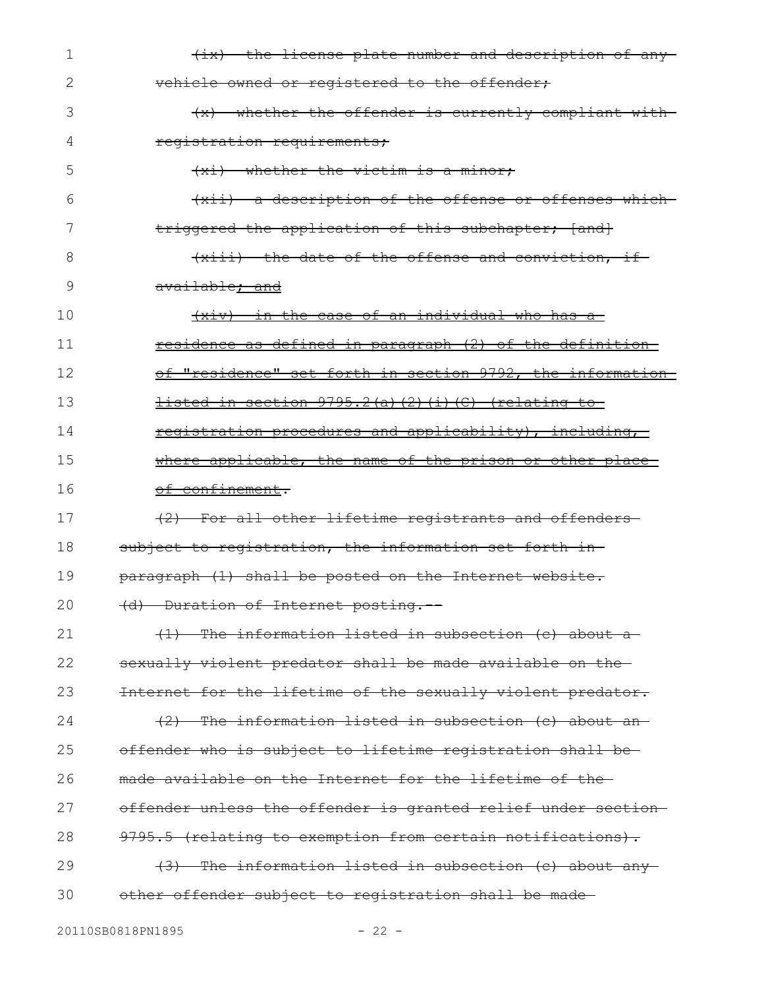| 1  | $\{ix\}$ the license plate number and description of any-     |
|----|---------------------------------------------------------------|
| 2  | vehicle owned or registered to the offender;                  |
| 3  | (x) whether the offender is currently compliant with          |
| 4  | registration requirements;                                    |
| 5  | (xi) whether the victim is a minor;                           |
| 6  | (xii) a description of the offense or offenses which          |
| 7  | triggered the application of this subchapter; [and]           |
| 8  | (xiii) the date of the offense and conviction, if-            |
| 9  | available; and                                                |
| 10 | (xiv) in the case of an individual who has a                  |
| 11 | residence as defined in paragraph (2) of the definition       |
| 12 | of "residence" set forth in section 9792, the information     |
| 13 | listed in section 9795.2(a)(2)(i)(C) (relating to             |
| 14 | registration procedures and applicability), including,        |
| 15 | where applicable, the name of the prison or other place       |
| 16 | of confinement.                                               |
| 17 | (2) For all other lifetime registrants and offenders          |
| 18 | subject to registration, the information set forth in-        |
| 19 | paragraph (1) shall be posted on the Internet website.        |
| 20 | (d) Duration of Internet posting.                             |
| 21 | (1) The information listed in subsection (c) about a          |
| 22 | sexually violent predator shall be made available on the      |
| 23 | Internet for the lifetime of the sexually violent predator.   |
| 24 | (2) The information listed in subsection (c) about an         |
| 25 | offender who is subject to lifetime registration shall be-    |
| 26 | made available on the Internet for the lifetime of the-       |
| 27 | offender unless the offender is granted relief under section- |
| 28 | 9795.5 (relating to exemption from certain notifications).    |
| 29 | (3) The information listed in subsection (c) about any        |
| 30 | other offender subject to registration shall be made-         |
|    |                                                               |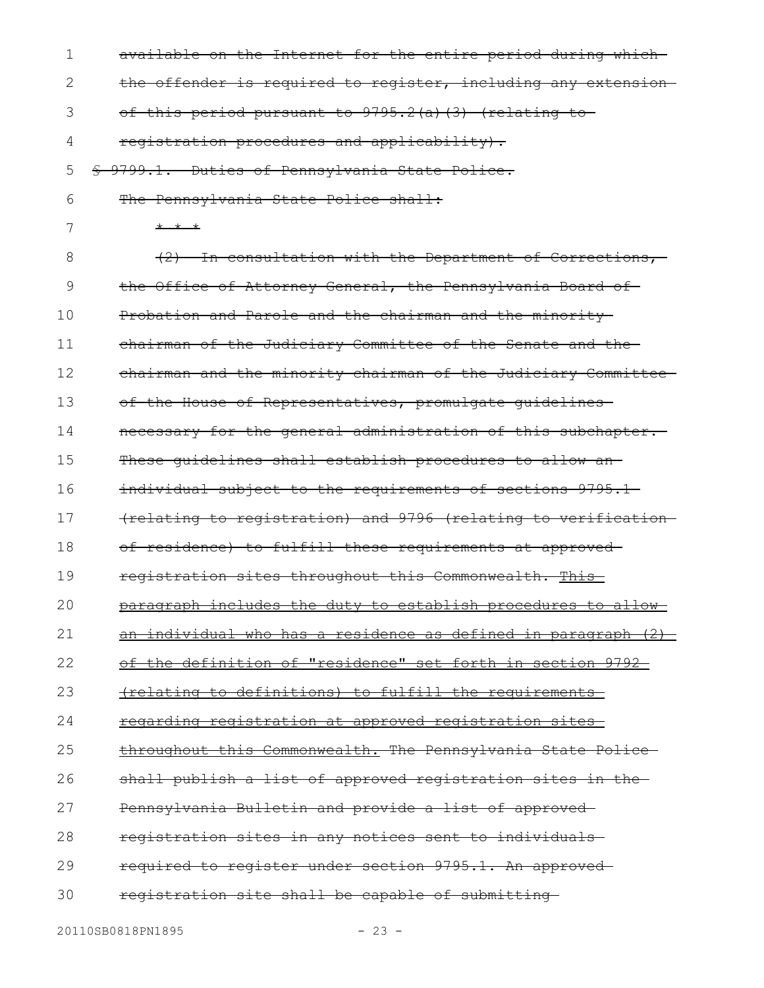| 1  | available on the Internet for the entire period during which-          |
|----|------------------------------------------------------------------------|
| 2  | the offender is required to register, including any extension-         |
| 3  | of this period pursuant to 9795.2(a)(3) (relating to                   |
| 4  | registration procedures and applicability).                            |
| 5  | § 9799.1. Duties of Pennsylvania State Police.                         |
| 6  | The Pennsylvania State Police shall:                                   |
| 7  | * * *                                                                  |
| 8  | (2) In consultation with the Department of Corrections,-               |
| 9  | the Office of Attorney General, the Pennsylvania Board of              |
| 10 | Probation and Parole and the chairman and the minority                 |
| 11 | chairman of the Judiciary Committee of the Senate and the-             |
| 12 | chairman and the minority chairman of the Judiciary Committee          |
| 13 | of the House of Representatives, promulgate guidelines-                |
| 14 | necessary for the general administration of this subchapter.           |
| 15 | These quidelines shall establish procedures to allow an-               |
| 16 | individual subject to the requirements of sections 9795.1-             |
| 17 | (relating to registration) and 9796 (relating to verification-         |
| 18 | of residence) to fulfill these requirements at approved-               |
| 19 | registration sites throughout this Commonwealth. This-                 |
| 20 | paragraph includes the duty to establish procedures to allow           |
| 21 | <u>an individual who has a residence as defined in paragraph (2) -</u> |
| 22 | of the definition of "residence" set forth in section 9792-            |
| 23 | (relating to definitions) to fulfill the requirements                  |
| 24 | <u>regarding registration at approved registration sites-</u>          |
| 25 | throughout this Commonwealth. The Pennsylvania State Police-           |
| 26 | shall publish a list of approved registration sites in the             |
| 27 | Pennsylvania Bulletin and provide a list of approved                   |
| 28 | registration sites in any notices sent to individuals                  |
| 29 | required to register under section 9795.1. An approved-                |
| 30 | registration site shall be capable of submitting-                      |
|    |                                                                        |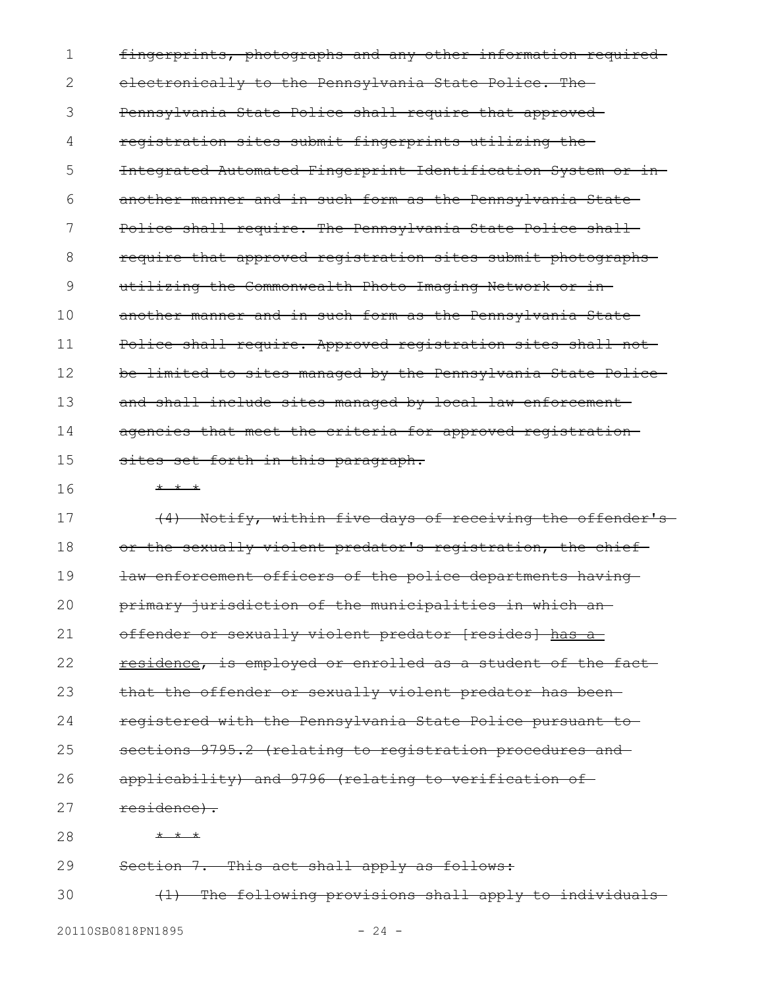fingerprints, photographs and any other information required electronically to the Pennsylvania State Police. The Pennsylvania State Police shall require that approved registration sites submit fingerprints utilizing the Integrated Automated Fingerprint Identification System or in another manner and in such form as the Pennsylvania State-Police shall require. The Pennsylvania State Police shall require that approved registration sites submit photographs utilizing the Commonwealth Photo Imaging Network or in another manner and in such form as the Pennsylvania State Police shall require. Approved registration sites shall not be limited to sites managed by the Pennsylvania State Police and shall include sites managed by local law enforcement agencies that meet the criteria for approved registration sites set forth in this paragraph.  $* * *$ (4) Notify, within five days of receiving the offender's or the sexually violent predator's registration, the chief law enforcement officers of the police departments having primary jurisdiction of the municipalities in which an offender or sexually violent predator [resides] has a residence, is employed or enrolled as a student of the fact that the offender or sexually violent predator has been registered with the Pennsylvania State Police pursuant to sections 9795.2 (relating to registration procedures and applicability) and 9796 (relating to verification of residence). \* \* \* Section 7. This act shall apply as follows: 1 2 3 4 5 6 7 8 9 10 11 12 13 14 15 16 17 18 19 20 21 22 23 24 25 26 27 28 29

(1) The following provisions shall apply to individuals 30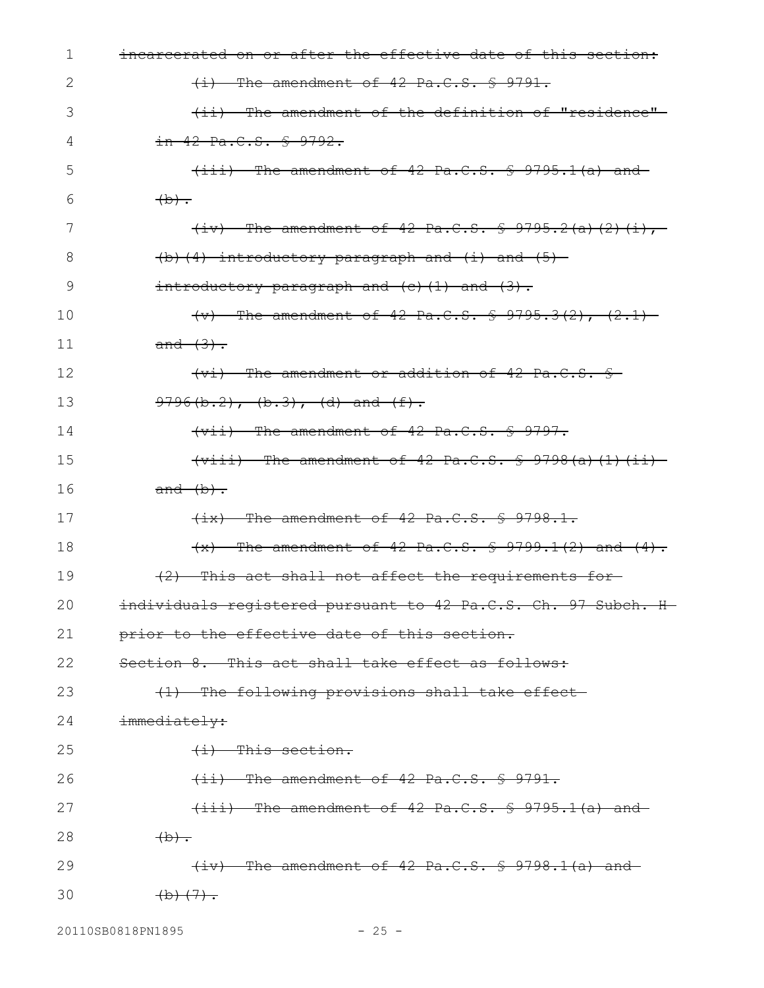| 1  | incarcerated on or after the effective date of this section:                                                                                                                                                                                                                                                                                                                         |
|----|--------------------------------------------------------------------------------------------------------------------------------------------------------------------------------------------------------------------------------------------------------------------------------------------------------------------------------------------------------------------------------------|
| 2  | $(i)$ The amendment of 42 Pa.C.S. § 9791.                                                                                                                                                                                                                                                                                                                                            |
| 3  | (ii) The amendment of the definition of "residence"                                                                                                                                                                                                                                                                                                                                  |
| 4  | $in$ 42 Pa.C.S. $$9792.$                                                                                                                                                                                                                                                                                                                                                             |
| 5  | $(iii)$ The amendment of 42 Pa.C.S. $\frac{5}{5}$ 9795.1(a) and                                                                                                                                                                                                                                                                                                                      |
| 6  | $\overline{a}$                                                                                                                                                                                                                                                                                                                                                                       |
| 7  | $(iv)$ The amendment of 42 Pa.C.S. § 9795.2(a)(2)(i),                                                                                                                                                                                                                                                                                                                                |
| 8  | $(b)$ (4) introductory paragraph and (i) and (5) –                                                                                                                                                                                                                                                                                                                                   |
| 9  | $introduction$ paragraph and $(c)$ $(1)$ and $(3)$ .                                                                                                                                                                                                                                                                                                                                 |
| 10 | $(v)$ The amendment of 42 Pa.C.S. § 9795.3(2), (2.1)                                                                                                                                                                                                                                                                                                                                 |
| 11 | $and (3)$ .                                                                                                                                                                                                                                                                                                                                                                          |
| 12 | (vi) The amendment or addition of 42 Pa.C.S. §                                                                                                                                                                                                                                                                                                                                       |
| 13 | $9796(b.2)$ , $(b.3)$ , $(d)$ and $(f)$ .                                                                                                                                                                                                                                                                                                                                            |
| 14 | $\overline{y}$ $\overline{y}$ $\overline{y}$ $\overline{y}$ $\overline{y}$ $\overline{y}$ $\overline{y}$ $\overline{y}$ $\overline{y}$ $\overline{y}$ $\overline{y}$ $\overline{y}$ $\overline{y}$ $\overline{y}$ $\overline{y}$ $\overline{y}$ $\overline{y}$ $\overline{y}$ $\overline{y}$ $\overline{y}$ $\overline{y}$ $\overline{y}$ $\overline{y}$ $\overline{y}$ $\overline{$ |
| 15 | $\{\text{viii}\}$ The amendment of 42 Pa.C.S. $\frac{1}{5}$ 9798(a)(1)(ii)                                                                                                                                                                                                                                                                                                           |
| 16 | $and (b)$ .                                                                                                                                                                                                                                                                                                                                                                          |
| 17 | $(ix)$ The amendment of 42 Pa.C.S. § 9798.1.                                                                                                                                                                                                                                                                                                                                         |
| 18 | $\{x\}$ The amendment of 42 Pa.C.S. § 9799.1(2) and (4).                                                                                                                                                                                                                                                                                                                             |
| 19 | $(2)$ This act shall not affect the requirements for-                                                                                                                                                                                                                                                                                                                                |
| 20 | individuals registered pursuant to 42 Pa.C.S. Ch. 97 Subch. H                                                                                                                                                                                                                                                                                                                        |
| 21 | prior to the effective date of this section.                                                                                                                                                                                                                                                                                                                                         |
| 22 | Section 8. This act shall take effect as follows:                                                                                                                                                                                                                                                                                                                                    |
| 23 | (1) The following provisions shall take effect-                                                                                                                                                                                                                                                                                                                                      |
| 24 | immediately:                                                                                                                                                                                                                                                                                                                                                                         |
| 25 | $(i)$ This section.                                                                                                                                                                                                                                                                                                                                                                  |
| 26 | $(i_i)$ The amendment of 42 Pa.C.S. § 9791.                                                                                                                                                                                                                                                                                                                                          |
| 27 | $(iii)$ The amendment of 42 Pa.C.S. $\frac{1}{5}$ 9795.1(a) and                                                                                                                                                                                                                                                                                                                      |
| 28 | $\overline{a}$                                                                                                                                                                                                                                                                                                                                                                       |
| 29 | $(iv)$ The amendment of 42 Pa.C.S. $\frac{1}{5}$ 9798.1(a) and                                                                                                                                                                                                                                                                                                                       |
| 30 | $\left(\frac{b}{c}\right)\left(\frac{7}{c}\right)$ .                                                                                                                                                                                                                                                                                                                                 |

20110SB0818PN1895 - 25 -